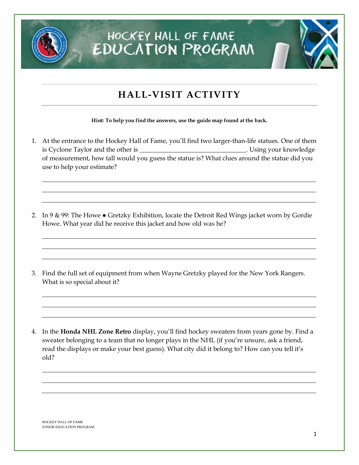

#### **HALL-VISIT ACTIVITY**

**Hint: To help you find the answers, use the guide map found at the back.**

- 1. At the entrance to the Hockey Hall of Fame, you'll find two larger-than-life statues. One of them is Cyclone Taylor and the other is \_\_\_\_\_\_\_\_\_\_\_\_\_\_\_\_\_\_\_\_\_\_\_\_\_\_\_\_\_\_\_\_\_. Using your knowledge of measurement, how tall would you guess the statue is? What clues around the statue did you use to help your estimate?
- 2. In 9 & 99: The Howe  $\bullet$  Gretzky Exhibition, locate the Detroit Red Wings jacket worn by Gordie Howe. What year did he receive this jacket and how old was he?
- 3. Find the full set of equipment from when Wayne Gretzky played for the New York Rangers. What is so special about it?

4. In the **Honda NHL Zone Retro** display, you'll find hockey sweaters from years gone by. Find a sweater belonging to a team that no longer plays in the NHL (if you're unsure, ask a friend, read the displays or make your best guess). What city did it belong to? How can you tell it's old?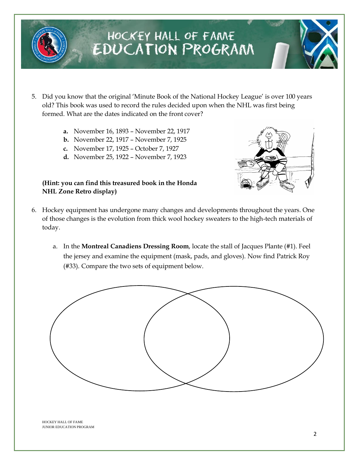

- 5. Did you know that the original 'Minute Book of the National Hockey League' is over 100 years old? This book was used to record the rules decided upon when the NHL was first being formed. What are the dates indicated on the front cover?
	- **a.** November 16, 1893 November 22, 1917
	- **b.** November 22, 1917 November 7, 1925
	- **c.** November 17, 1925 October 7, 1927
	- **d.** November 25, 1922 November 7, 1923

#### **(Hint: you can find this treasured book in the Honda NHL Zone Retro display)**



- 6. Hockey equipment has undergone many changes and developments throughout the years. One of those changes is the evolution from thick wool hockey sweaters to the high-tech materials of today.
	- a. In the **Montreal Canadiens Dressing Room**, locate the stall of Jacques Plante (#1). Feel the jersey and examine the equipment (mask, pads, and gloves). Now find Patrick Roy (#33). Compare the two sets of equipment below.

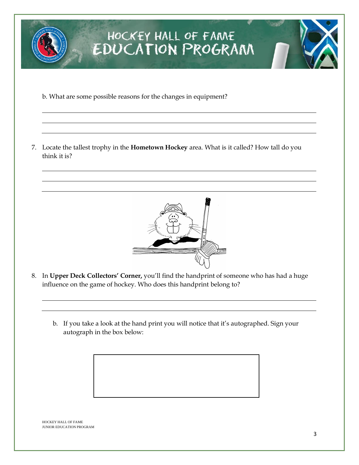

b. What are some possible reasons for the changes in equipment?

7. Locate the tallest trophy in the **Hometown Hockey** area. What is it called? How tall do you think it is?



- 8. In **Upper Deck Collectors' Corner,** you'll find the handprint of someone who has had a huge influence on the game of hockey. Who does this handprint belong to?
	- b. If you take a look at the hand print you will notice that it's autographed. Sign your autograph in the box below:

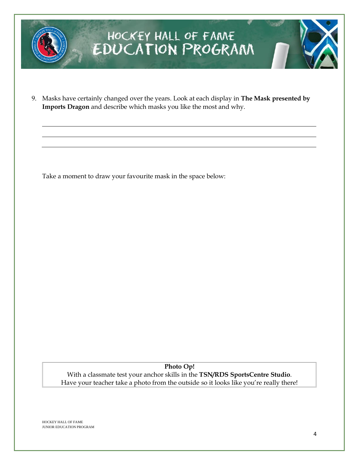

9. Masks have certainly changed over the years. Look at each display in **The Mask presented by Imports Dragon** and describe which masks you like the most and why.

Take a moment to draw your favourite mask in the space below:

**Photo Op!** With a classmate test your anchor skills in the **TSN/RDS SportsCentre Studio**. Have your teacher take a photo from the outside so it looks like you're really there!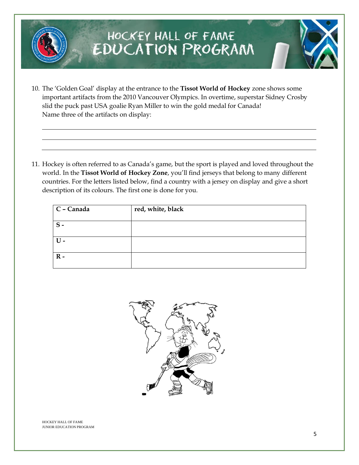- 10. The 'Golden Goal' display at the entrance to the **Tissot World of Hockey** zone shows some important artifacts from the 2010 Vancouver Olympics. In overtime, superstar Sidney Crosby slid the puck past USA goalie Ryan Miller to win the gold medal for Canada! Name three of the artifacts on display:
- 11. Hockey is often referred to as Canada's game, but the sport is played and loved throughout the world. In the **Tissot World of Hockey Zone**, you'll find jerseys that belong to many different countries. For the letters listed below, find a country with a jersey on display and give a short description of its colours. The first one is done for you.

| C - Canada     | red, white, black |
|----------------|-------------------|
| $S -$          |                   |
| $U -$          |                   |
| $\mathbf{R}$ - |                   |

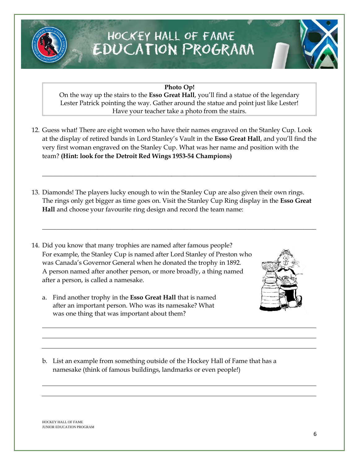

**Photo Op!**

On the way up the stairs to the **Esso Great Hall**, you'll find a statue of the legendary Lester Patrick pointing the way. Gather around the statue and point just like Lester! Have your teacher take a photo from the stairs.

12. Guess what! There are eight women who have their names engraved on the Stanley Cup. Look at the display of retired bands in Lord Stanley's Vault in the **Esso Great Hall**, and you'll find the very first woman engraved on the Stanley Cup. What was her name and position with the team? **(Hint: look for the Detroit Red Wings 1953-54 Champions)**

\_\_\_\_\_\_\_\_\_\_\_\_\_\_\_\_\_\_\_\_\_\_\_\_\_\_\_\_\_\_\_\_\_\_\_\_\_\_\_\_\_\_\_\_\_\_\_\_\_\_\_\_\_\_\_\_\_\_\_\_\_\_\_\_\_\_\_\_\_\_\_\_\_\_\_\_\_\_\_\_\_\_\_\_\_

\_\_\_\_\_\_\_\_\_\_\_\_\_\_\_\_\_\_\_\_\_\_\_\_\_\_\_\_\_\_\_\_\_\_\_\_\_\_\_\_\_\_\_\_\_\_\_\_\_\_\_\_\_\_\_\_\_\_\_\_\_\_\_\_\_\_\_\_\_\_\_\_\_\_\_\_\_\_\_\_\_\_\_\_\_

- 13. Diamonds! The players lucky enough to win the Stanley Cup are also given their own rings. The rings only get bigger as time goes on. Visit the Stanley Cup Ring display in the **Esso Great Hall** and choose your favourite ring design and record the team name:
- 14. Did you know that many trophies are named after famous people? For example, the Stanley Cup is named after Lord Stanley of Preston who was Canada's Governor General when he donated the trophy in 1892. A person named after another person, or more broadly, a thing named after a person, is called a namesake.
	- a. Find another trophy in the **Esso Great Hall** that is named after an important person. Who was its namesake? What was one thing that was important about them?



b. List an example from something outside of the Hockey Hall of Fame that has a namesake (think of famous buildings, landmarks or even people!)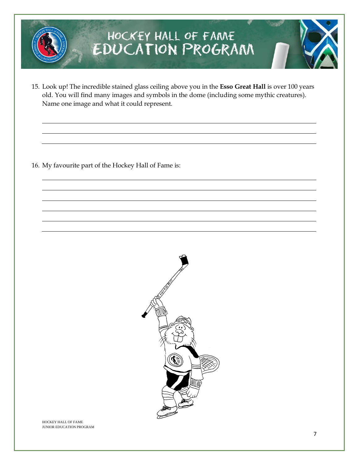

15. Look up! The incredible stained glass ceiling above you in the **Esso Great Hall** is over 100 years old. You will find many images and symbols in the dome (including some mythic creatures). Name one image and what it could represent.

16. My favourite part of the Hockey Hall of Fame is: